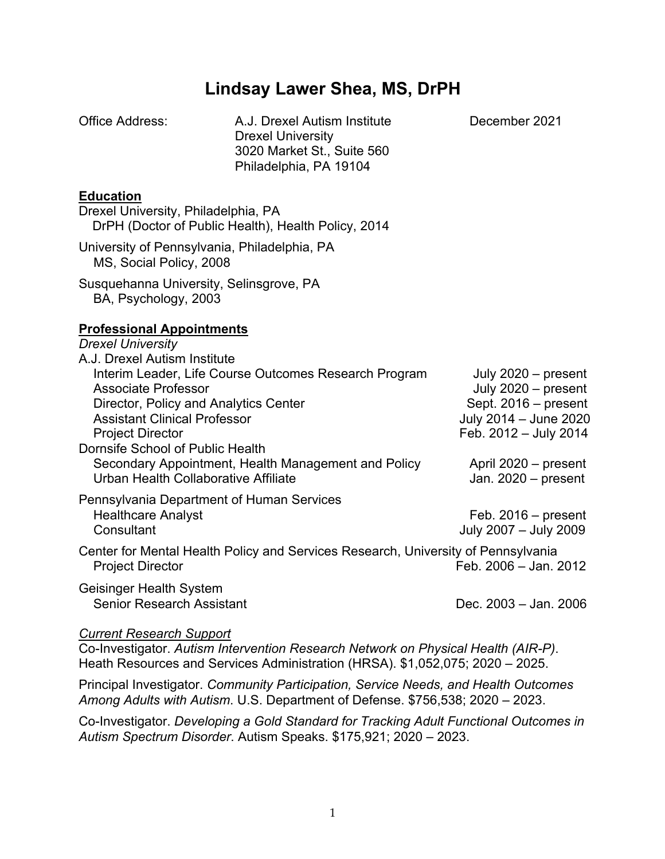# **Lindsay Lawer Shea, MS, DrPH**

| Office Address:                                                                                                                                                                                                                                                                                                   | A.J. Drexel Autism Institute<br><b>Drexel University</b><br>3020 Market St., Suite 560<br>Philadelphia, PA 19104 | December 2021                                                                                                                                                             |
|-------------------------------------------------------------------------------------------------------------------------------------------------------------------------------------------------------------------------------------------------------------------------------------------------------------------|------------------------------------------------------------------------------------------------------------------|---------------------------------------------------------------------------------------------------------------------------------------------------------------------------|
| <b>Education</b><br>Drexel University, Philadelphia, PA                                                                                                                                                                                                                                                           | DrPH (Doctor of Public Health), Health Policy, 2014                                                              |                                                                                                                                                                           |
| MS, Social Policy, 2008                                                                                                                                                                                                                                                                                           | University of Pennsylvania, Philadelphia, PA                                                                     |                                                                                                                                                                           |
| Susquehanna University, Selinsgrove, PA<br>BA, Psychology, 2003                                                                                                                                                                                                                                                   |                                                                                                                  |                                                                                                                                                                           |
| <b>Professional Appointments</b><br><b>Drexel University</b><br>A.J. Drexel Autism Institute<br><b>Associate Professor</b><br>Director, Policy and Analytics Center<br><b>Assistant Clinical Professor</b><br><b>Project Director</b><br>Dornsife School of Public Health<br>Urban Health Collaborative Affiliate | Interim Leader, Life Course Outcomes Research Program<br>Secondary Appointment, Health Management and Policy     | July $2020$ – present<br>July $2020$ – present<br>Sept. 2016 - present<br>July 2014 - June 2020<br>Feb. 2012 - July 2014<br>April 2020 - present<br>Jan. $2020$ – present |
| Pennsylvania Department of Human Services<br><b>Healthcare Analyst</b><br>Consultant                                                                                                                                                                                                                              |                                                                                                                  | Feb. $2016$ – present<br>July 2007 - July 2009                                                                                                                            |
| <b>Project Director</b>                                                                                                                                                                                                                                                                                           | Center for Mental Health Policy and Services Research, University of Pennsylvania                                | Feb. 2006 - Jan. 2012                                                                                                                                                     |
| Geisinger Health System<br><b>Senior Research Assistant</b>                                                                                                                                                                                                                                                       |                                                                                                                  | Dec. 2003 - Jan. 2006                                                                                                                                                     |

#### *Current Research Support*

Co-Investigator. *Autism Intervention Research Network on Physical Health (AIR-P)*. Heath Resources and Services Administration (HRSA). \$1,052,075; 2020 – 2025.

Principal Investigator. *Community Participation, Service Needs, and Health Outcomes Among Adults with Autism*. U.S. Department of Defense. \$756,538; 2020 – 2023.

Co-Investigator. *Developing a Gold Standard for Tracking Adult Functional Outcomes in Autism Spectrum Disorder*. Autism Speaks. \$175,921; 2020 – 2023.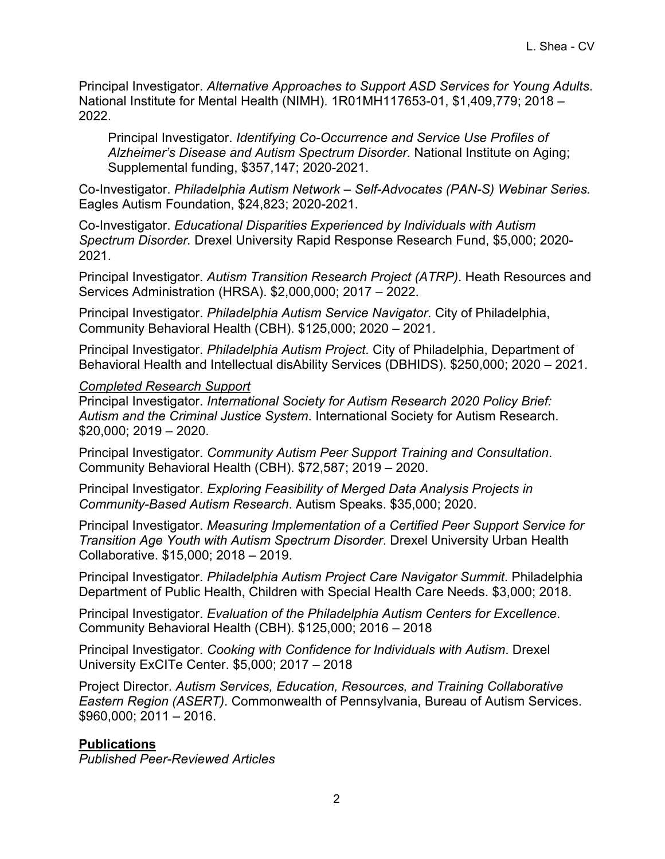Principal Investigator. *Alternative Approaches to Support ASD Services for Young Adults*. National Institute for Mental Health (NIMH). 1R01MH117653-01, \$1,409,779; 2018 – 2022.

Principal Investigator. *Identifying Co-Occurrence and Service Use Profiles of Alzheimer's Disease and Autism Spectrum Disorder.* National Institute on Aging; Supplemental funding, \$357,147; 2020-2021.

Co-Investigator. *Philadelphia Autism Network – Self-Advocates (PAN-S) Webinar Series.* Eagles Autism Foundation, \$24,823; 2020-2021.

Co-Investigator. *Educational Disparities Experienced by Individuals with Autism Spectrum Disorder.* Drexel University Rapid Response Research Fund, \$5,000; 2020- 2021.

Principal Investigator. *Autism Transition Research Project (ATRP)*. Heath Resources and Services Administration (HRSA). \$2,000,000; 2017 – 2022.

Principal Investigator. *Philadelphia Autism Service Navigator*. City of Philadelphia, Community Behavioral Health (CBH). \$125,000; 2020 – 2021.

Principal Investigator. *Philadelphia Autism Project*. City of Philadelphia, Department of Behavioral Health and Intellectual disAbility Services (DBHIDS). \$250,000; 2020 – 2021.

### *Completed Research Support*

Principal Investigator. *International Society for Autism Research 2020 Policy Brief: Autism and the Criminal Justice System*. International Society for Autism Research. \$20,000; 2019 – 2020.

Principal Investigator. *Community Autism Peer Support Training and Consultation*. Community Behavioral Health (CBH). \$72,587; 2019 – 2020.

Principal Investigator. *Exploring Feasibility of Merged Data Analysis Projects in Community-Based Autism Research*. Autism Speaks. \$35,000; 2020.

Principal Investigator. *Measuring Implementation of a Certified Peer Support Service for Transition Age Youth with Autism Spectrum Disorder*. Drexel University Urban Health Collaborative. \$15,000; 2018 – 2019.

Principal Investigator. *Philadelphia Autism Project Care Navigator Summit*. Philadelphia Department of Public Health, Children with Special Health Care Needs. \$3,000; 2018.

Principal Investigator. *Evaluation of the Philadelphia Autism Centers for Excellence*. Community Behavioral Health (CBH). \$125,000; 2016 – 2018

Principal Investigator. *Cooking with Confidence for Individuals with Autism*. Drexel University ExCITe Center. \$5,000; 2017 – 2018

Project Director. *Autism Services, Education, Resources, and Training Collaborative Eastern Region (ASERT)*. Commonwealth of Pennsylvania, Bureau of Autism Services. \$960,000; 2011 – 2016.

### **Publications**

*Published Peer-Reviewed Articles*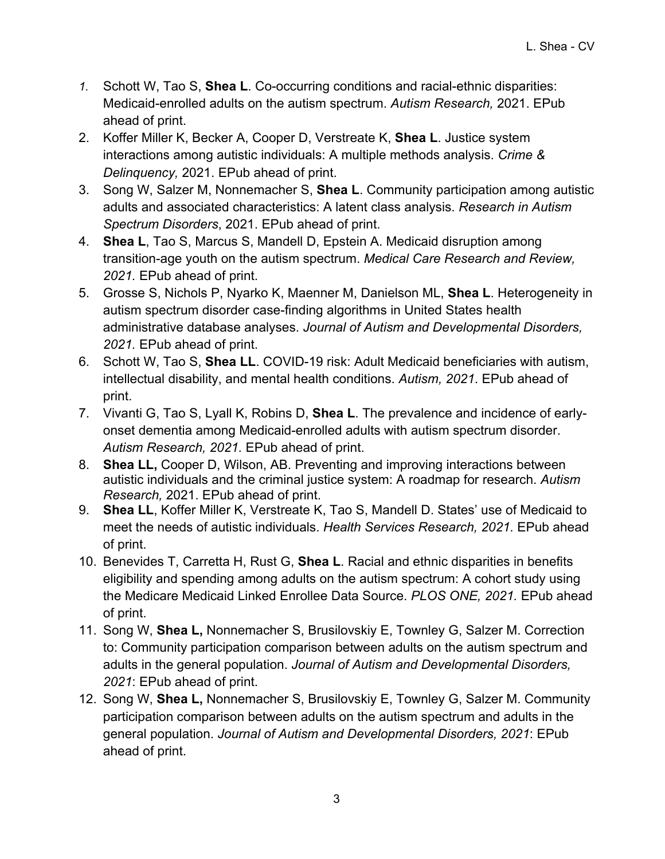- *1.* Schott W, Tao S, **Shea L**. Co-occurring conditions and racial-ethnic disparities: Medicaid-enrolled adults on the autism spectrum. *Autism Research,* 2021. EPub ahead of print.
- 2. Koffer Miller K, Becker A, Cooper D, Verstreate K, **Shea L**. Justice system interactions among autistic individuals: A multiple methods analysis. *Crime & Delinquency,* 2021. EPub ahead of print.
- 3. Song W, Salzer M, Nonnemacher S, **Shea L**. Community participation among autistic adults and associated characteristics: A latent class analysis. *Research in Autism Spectrum Disorders*, 2021. EPub ahead of print.
- 4. **Shea L**, Tao S, Marcus S, Mandell D, Epstein A. Medicaid disruption among transition-age youth on the autism spectrum. *Medical Care Research and Review, 2021.* EPub ahead of print.
- 5. Grosse S, Nichols P, Nyarko K, Maenner M, Danielson ML, **Shea L**. Heterogeneity in autism spectrum disorder case-finding algorithms in United States health administrative database analyses. *Journal of Autism and Developmental Disorders, 2021.* EPub ahead of print.
- 6. Schott W, Tao S, **Shea LL**. COVID-19 risk: Adult Medicaid beneficiaries with autism, intellectual disability, and mental health conditions. *Autism, 2021*. EPub ahead of print.
- 7. Vivanti G, Tao S, Lyall K, Robins D, **Shea L**. The prevalence and incidence of earlyonset dementia among Medicaid-enrolled adults with autism spectrum disorder. *Autism Research, 2021.* EPub ahead of print.
- 8. **Shea LL,** Cooper D, Wilson, AB. Preventing and improving interactions between autistic individuals and the criminal justice system: A roadmap for research. *Autism Research,* 2021. EPub ahead of print.
- 9. **Shea LL**, Koffer Miller K, Verstreate K, Tao S, Mandell D. States' use of Medicaid to meet the needs of autistic individuals. *Health Services Research, 2021.* EPub ahead of print.
- 10. Benevides T, Carretta H, Rust G, **Shea L**. Racial and ethnic disparities in benefits eligibility and spending among adults on the autism spectrum: A cohort study using the Medicare Medicaid Linked Enrollee Data Source. *PLOS ONE, 2021.* EPub ahead of print.
- 11. Song W, **Shea L,** Nonnemacher S, Brusilovskiy E, Townley G, Salzer M. Correction to: Community participation comparison between adults on the autism spectrum and adults in the general population. *Journal of Autism and Developmental Disorders, 2021*: EPub ahead of print.
- 12. Song W, **Shea L,** Nonnemacher S, Brusilovskiy E, Townley G, Salzer M. Community participation comparison between adults on the autism spectrum and adults in the general population. *Journal of Autism and Developmental Disorders, 2021*: EPub ahead of print.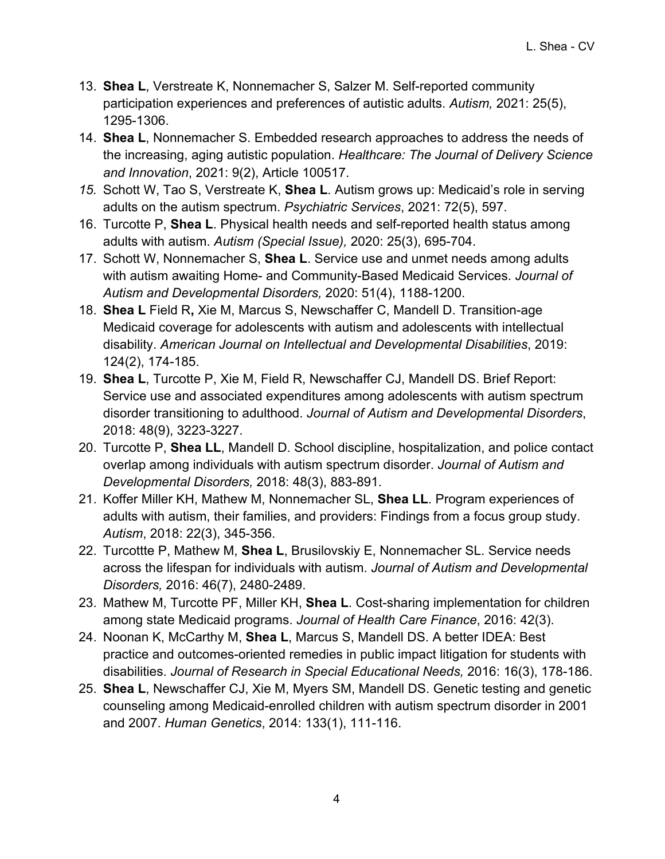- 13. **Shea L**, Verstreate K, Nonnemacher S, Salzer M. Self-reported community participation experiences and preferences of autistic adults. *Autism,* 2021: 25(5), 1295-1306.
- 14. **Shea L**, Nonnemacher S. Embedded research approaches to address the needs of the increasing, aging autistic population. *Healthcare: The Journal of Delivery Science and Innovation*, 2021: 9(2), Article 100517.
- *15.* Schott W, Tao S, Verstreate K, **Shea L**. Autism grows up: Medicaid's role in serving adults on the autism spectrum. *Psychiatric Services*, 2021: 72(5), 597.
- 16. Turcotte P, **Shea L**. Physical health needs and self-reported health status among adults with autism. *Autism (Special Issue),* 2020: 25(3), 695-704.
- 17. Schott W, Nonnemacher S, **Shea L**. Service use and unmet needs among adults with autism awaiting Home- and Community-Based Medicaid Services. *Journal of Autism and Developmental Disorders,* 2020: 51(4), 1188-1200.
- 18. **Shea L** Field R**,** Xie M, Marcus S, Newschaffer C, Mandell D. Transition-age Medicaid coverage for adolescents with autism and adolescents with intellectual disability. *American Journal on Intellectual and Developmental Disabilities*, 2019: 124(2), 174-185.
- 19. **Shea L**, Turcotte P, Xie M, Field R, Newschaffer CJ, Mandell DS. Brief Report: Service use and associated expenditures among adolescents with autism spectrum disorder transitioning to adulthood. *Journal of Autism and Developmental Disorders*, 2018: 48(9), 3223-3227.
- 20. Turcotte P, **Shea LL**, Mandell D. School discipline, hospitalization, and police contact overlap among individuals with autism spectrum disorder. *Journal of Autism and Developmental Disorders,* 2018: 48(3), 883-891.
- 21. Koffer Miller KH, Mathew M, Nonnemacher SL, **Shea LL**. Program experiences of adults with autism, their families, and providers: Findings from a focus group study. *Autism*, 2018: 22(3), 345-356.
- 22. Turcottte P, Mathew M, **Shea L**, Brusilovskiy E, Nonnemacher SL. Service needs across the lifespan for individuals with autism. *Journal of Autism and Developmental Disorders,* 2016: 46(7), 2480-2489.
- 23. Mathew M, Turcotte PF, Miller KH, **Shea L**. Cost-sharing implementation for children among state Medicaid programs. *Journal of Health Care Finance*, 2016: 42(3).
- 24. Noonan K, McCarthy M, **Shea L**, Marcus S, Mandell DS. A better IDEA: Best practice and outcomes-oriented remedies in public impact litigation for students with disabilities. *Journal of Research in Special Educational Needs,* 2016: 16(3), 178-186.
- 25. **Shea L**, Newschaffer CJ, Xie M, Myers SM, Mandell DS. Genetic testing and genetic counseling among Medicaid-enrolled children with autism spectrum disorder in 2001 and 2007. *Human Genetics*, 2014: 133(1), 111-116.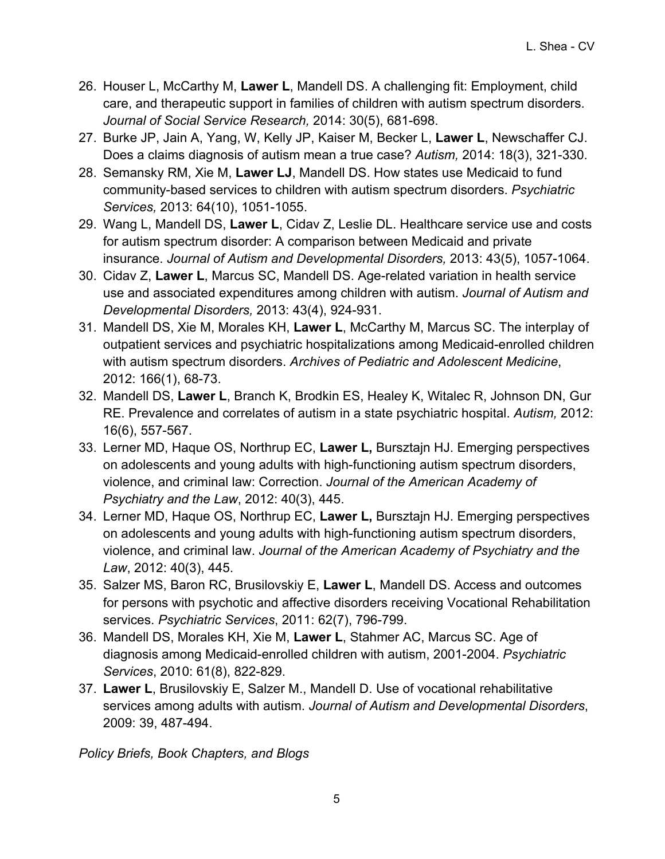- 26. Houser L, McCarthy M, **Lawer L**, Mandell DS. A challenging fit: Employment, child care, and therapeutic support in families of children with autism spectrum disorders. *Journal of Social Service Research,* 2014: 30(5), 681-698.
- 27. Burke JP, Jain A, Yang, W, Kelly JP, Kaiser M, Becker L, **Lawer L**, Newschaffer CJ. Does a claims diagnosis of autism mean a true case? *Autism,* 2014: 18(3), 321-330.
- 28. Semansky RM, Xie M, **Lawer LJ**, Mandell DS. How states use Medicaid to fund community-based services to children with autism spectrum disorders. *Psychiatric Services,* 2013: 64(10), 1051-1055.
- 29. Wang L, Mandell DS, **Lawer L**, Cidav Z, Leslie DL. Healthcare service use and costs for autism spectrum disorder: A comparison between Medicaid and private insurance. *Journal of Autism and Developmental Disorders,* 2013: 43(5), 1057-1064.
- 30. Cidav Z, **Lawer L**, Marcus SC, Mandell DS. Age-related variation in health service use and associated expenditures among children with autism. *Journal of Autism and Developmental Disorders,* 2013: 43(4), 924-931.
- 31. Mandell DS, Xie M, Morales KH, **Lawer L**, McCarthy M, Marcus SC. The interplay of outpatient services and psychiatric hospitalizations among Medicaid-enrolled children with autism spectrum disorders. *Archives of Pediatric and Adolescent Medicine*, 2012: 166(1), 68-73.
- 32. Mandell DS, **Lawer L**, Branch K, Brodkin ES, Healey K, Witalec R, Johnson DN, Gur RE. Prevalence and correlates of autism in a state psychiatric hospital. *Autism,* 2012: 16(6), 557-567.
- 33. Lerner MD, Haque OS, Northrup EC, **Lawer L,** Bursztajn HJ. Emerging perspectives on adolescents and young adults with high-functioning autism spectrum disorders, violence, and criminal law: Correction. *Journal of the American Academy of Psychiatry and the Law*, 2012: 40(3), 445.
- 34. Lerner MD, Haque OS, Northrup EC, **Lawer L,** Bursztajn HJ. Emerging perspectives on adolescents and young adults with high-functioning autism spectrum disorders, violence, and criminal law. *Journal of the American Academy of Psychiatry and the Law*, 2012: 40(3), 445.
- 35. Salzer MS, Baron RC, Brusilovskiy E, **Lawer L**, Mandell DS. Access and outcomes for persons with psychotic and affective disorders receiving Vocational Rehabilitation services. *Psychiatric Services*, 2011: 62(7), 796-799.
- 36. Mandell DS, Morales KH, Xie M, **Lawer L**, Stahmer AC, Marcus SC. Age of diagnosis among Medicaid-enrolled children with autism, 2001-2004. *Psychiatric Services*, 2010: 61(8), 822-829.
- 37. **Lawer L**, Brusilovskiy E, Salzer M., Mandell D. Use of vocational rehabilitative services among adults with autism. *Journal of Autism and Developmental Disorders*, 2009: 39, 487-494.

*Policy Briefs, Book Chapters, and Blogs*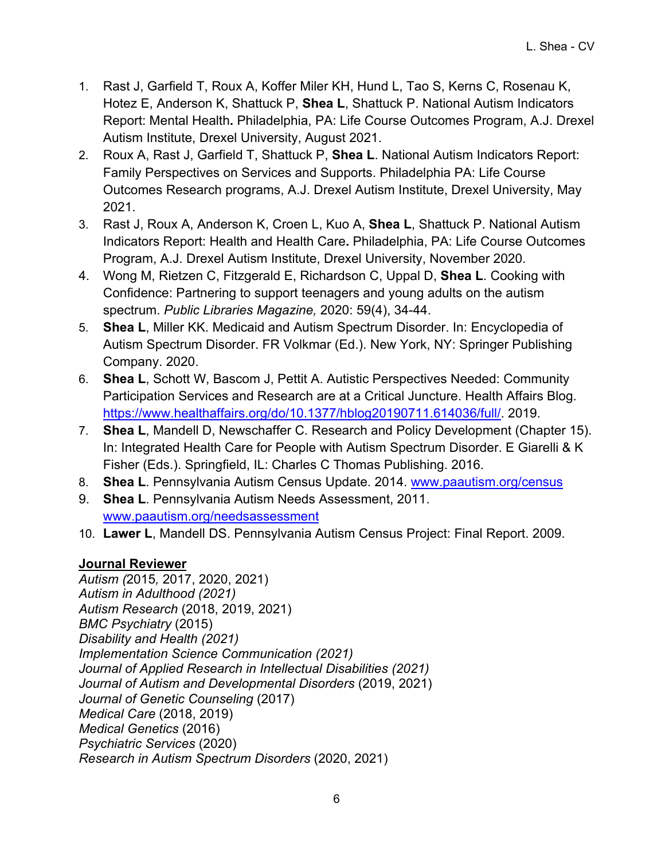- 1. Rast J, Garfield T, Roux A, Koffer Miler KH, Hund L, Tao S, Kerns C, Rosenau K, Hotez E, Anderson K, Shattuck P, **Shea L**, Shattuck P. National Autism Indicators Report: Mental Health**.** Philadelphia, PA: Life Course Outcomes Program, A.J. Drexel Autism Institute, Drexel University, August 2021.
- 2. Roux A, Rast J, Garfield T, Shattuck P, **Shea L**. National Autism Indicators Report: Family Perspectives on Services and Supports. Philadelphia PA: Life Course Outcomes Research programs, A.J. Drexel Autism Institute, Drexel University, May 2021.
- 3. Rast J, Roux A, Anderson K, Croen L, Kuo A, **Shea L**, Shattuck P. National Autism Indicators Report: Health and Health Care**.** Philadelphia, PA: Life Course Outcomes Program, A.J. Drexel Autism Institute, Drexel University, November 2020.
- 4. Wong M, Rietzen C, Fitzgerald E, Richardson C, Uppal D, **Shea L**. Cooking with Confidence: Partnering to support teenagers and young adults on the autism spectrum. *Public Libraries Magazine,* 2020: 59(4), 34-44.
- 5. **Shea L**, Miller KK. Medicaid and Autism Spectrum Disorder. In: Encyclopedia of Autism Spectrum Disorder. FR Volkmar (Ed.). New York, NY: Springer Publishing Company. 2020.
- 6. **Shea L**, Schott W, Bascom J, Pettit A. Autistic Perspectives Needed: Community Participation Services and Research are at a Critical Juncture. Health Affairs Blog. https://www.healthaffairs.org/do/10.1377/hblog20190711.614036/full/. 2019.
- 7. **Shea L**, Mandell D, Newschaffer C. Research and Policy Development (Chapter 15). In: Integrated Health Care for People with Autism Spectrum Disorder. E Giarelli & K Fisher (Eds.). Springfield, IL: Charles C Thomas Publishing. 2016.
- 8. **Shea L**. Pennsylvania Autism Census Update. 2014. www.paautism.org/census
- 9. **Shea L**. Pennsylvania Autism Needs Assessment, 2011. www.paautism.org/needsassessment
- 10. **Lawer L**, Mandell DS. Pennsylvania Autism Census Project: Final Report. 2009.

### **Journal Reviewer**

*Autism (*2015*,* 2017, 2020, 2021) *Autism in Adulthood (2021) Autism Research* (2018, 2019, 2021) *BMC Psychiatry* (2015) *Disability and Health (2021) Implementation Science Communication (2021) Journal of Applied Research in Intellectual Disabilities (2021) Journal of Autism and Developmental Disorders* (2019, 2021) *Journal of Genetic Counseling* (2017) *Medical Care* (2018, 2019) *Medical Genetics* (2016) *Psychiatric Services* (2020) *Research in Autism Spectrum Disorders* (2020, 2021)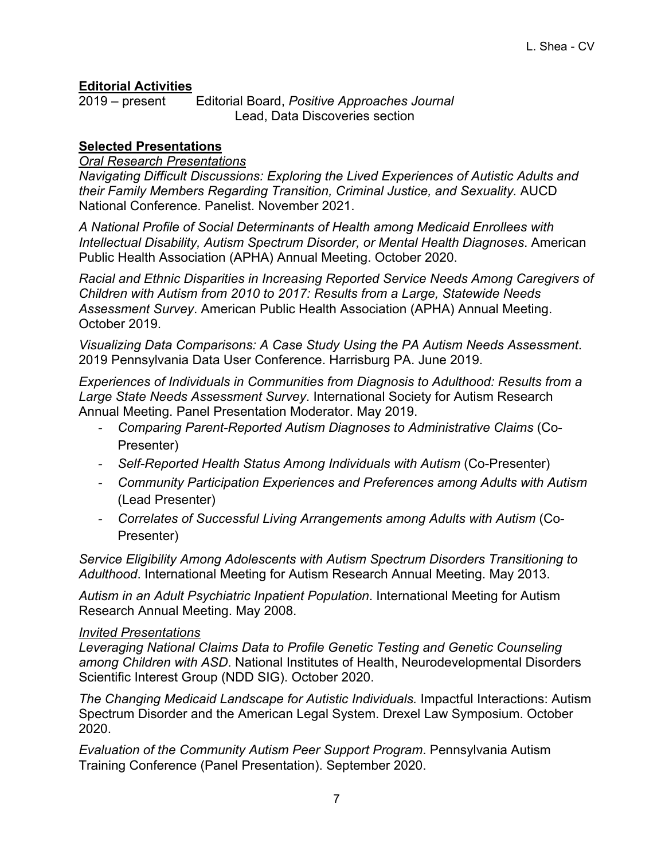### **Editorial Activities**

2019 – present Editorial Board, *Positive Approaches Journal* Lead, Data Discoveries section

### **Selected Presentations**

### *Oral Research Presentations*

*Navigating Difficult Discussions: Exploring the Lived Experiences of Autistic Adults and their Family Members Regarding Transition, Criminal Justice, and Sexuality.* AUCD National Conference. Panelist. November 2021.

*A National Profile of Social Determinants of Health among Medicaid Enrollees with Intellectual Disability, Autism Spectrum Disorder, or Mental Health Diagnoses*. American Public Health Association (APHA) Annual Meeting. October 2020.

*Racial and Ethnic Disparities in Increasing Reported Service Needs Among Caregivers of Children with Autism from 2010 to 2017: Results from a Large, Statewide Needs Assessment Survey*. American Public Health Association (APHA) Annual Meeting. October 2019.

*Visualizing Data Comparisons: A Case Study Using the PA Autism Needs Assessment*. 2019 Pennsylvania Data User Conference. Harrisburg PA. June 2019.

*Experiences of Individuals in Communities from Diagnosis to Adulthood: Results from a Large State Needs Assessment Survey*. International Society for Autism Research Annual Meeting. Panel Presentation Moderator. May 2019.

- *Comparing Parent-Reported Autism Diagnoses to Administrative Claims* (Co-Presenter)
- *Self-Reported Health Status Among Individuals with Autism* (Co-Presenter)
- *Community Participation Experiences and Preferences among Adults with Autism* (Lead Presenter)
- *Correlates of Successful Living Arrangements among Adults with Autism* (Co-Presenter)

*Service Eligibility Among Adolescents with Autism Spectrum Disorders Transitioning to Adulthood*. International Meeting for Autism Research Annual Meeting. May 2013.

*Autism in an Adult Psychiatric Inpatient Population*. International Meeting for Autism Research Annual Meeting. May 2008.

### *Invited Presentations*

*Leveraging National Claims Data to Profile Genetic Testing and Genetic Counseling among Children with ASD*. National Institutes of Health, Neurodevelopmental Disorders Scientific Interest Group (NDD SIG). October 2020.

*The Changing Medicaid Landscape for Autistic Individuals.* Impactful Interactions: Autism Spectrum Disorder and the American Legal System. Drexel Law Symposium. October 2020.

*Evaluation of the Community Autism Peer Support Program*. Pennsylvania Autism Training Conference (Panel Presentation). September 2020.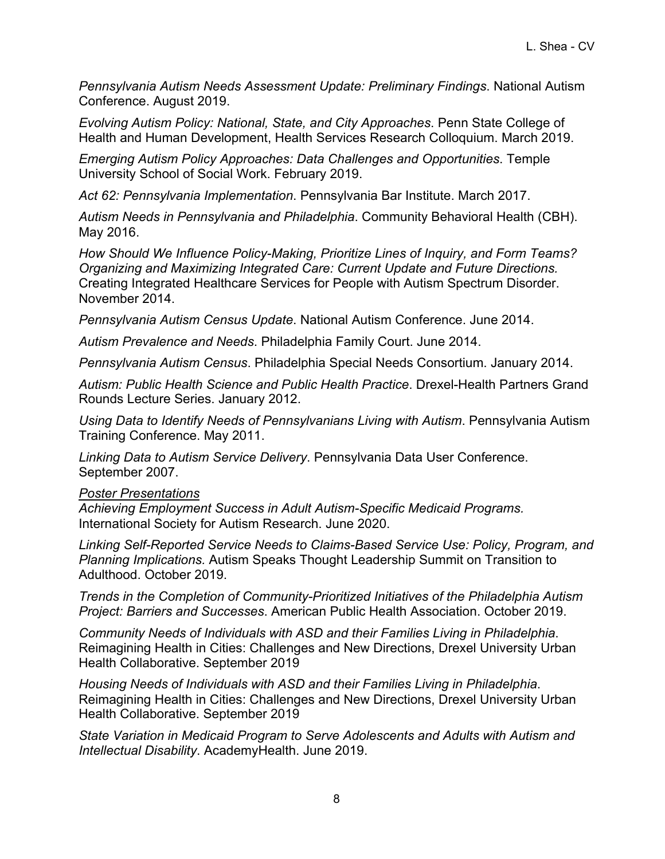*Pennsylvania Autism Needs Assessment Update: Preliminary Findings*. National Autism Conference. August 2019.

*Evolving Autism Policy: National, State, and City Approaches*. Penn State College of Health and Human Development, Health Services Research Colloquium. March 2019.

*Emerging Autism Policy Approaches: Data Challenges and Opportunities*. Temple University School of Social Work. February 2019.

*Act 62: Pennsylvania Implementation*. Pennsylvania Bar Institute. March 2017.

*Autism Needs in Pennsylvania and Philadelphia*. Community Behavioral Health (CBH). May 2016.

*How Should We Influence Policy-Making, Prioritize Lines of Inquiry, and Form Teams? Organizing and Maximizing Integrated Care: Current Update and Future Directions.* Creating Integrated Healthcare Services for People with Autism Spectrum Disorder. November 2014.

*Pennsylvania Autism Census Update*. National Autism Conference. June 2014.

*Autism Prevalence and Needs*. Philadelphia Family Court. June 2014.

*Pennsylvania Autism Census*. Philadelphia Special Needs Consortium. January 2014.

*Autism: Public Health Science and Public Health Practice*. Drexel-Health Partners Grand Rounds Lecture Series. January 2012.

*Using Data to Identify Needs of Pennsylvanians Living with Autism*. Pennsylvania Autism Training Conference. May 2011.

*Linking Data to Autism Service Delivery*. Pennsylvania Data User Conference. September 2007.

#### *Poster Presentations*

*Achieving Employment Success in Adult Autism-Specific Medicaid Programs.*  International Society for Autism Research. June 2020.

*Linking Self-Reported Service Needs to Claims-Based Service Use: Policy, Program, and Planning Implications.* Autism Speaks Thought Leadership Summit on Transition to Adulthood. October 2019.

*Trends in the Completion of Community-Prioritized Initiatives of the Philadelphia Autism Project: Barriers and Successes*. American Public Health Association. October 2019.

*Community Needs of Individuals with ASD and their Families Living in Philadelphia*. Reimagining Health in Cities: Challenges and New Directions, Drexel University Urban Health Collaborative. September 2019

*Housing Needs of Individuals with ASD and their Families Living in Philadelphia*. Reimagining Health in Cities: Challenges and New Directions, Drexel University Urban Health Collaborative. September 2019

*State Variation in Medicaid Program to Serve Adolescents and Adults with Autism and Intellectual Disability*. AcademyHealth. June 2019.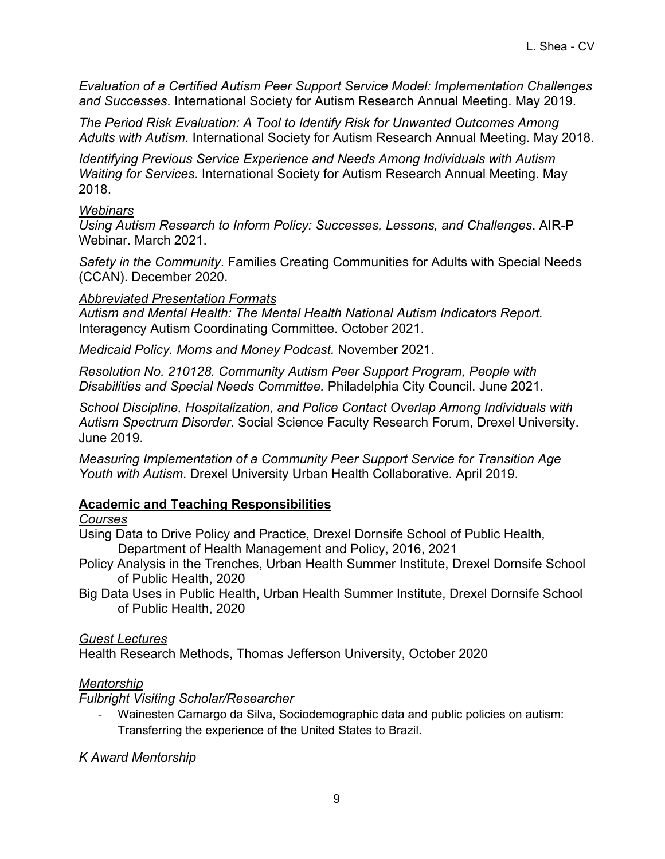*Evaluation of a Certified Autism Peer Support Service Model: Implementation Challenges and Successes*. International Society for Autism Research Annual Meeting. May 2019.

*The Period Risk Evaluation: A Tool to Identify Risk for Unwanted Outcomes Among Adults with Autism*. International Society for Autism Research Annual Meeting. May 2018.

*Identifying Previous Service Experience and Needs Among Individuals with Autism Waiting for Services*. International Society for Autism Research Annual Meeting. May 2018.

### *Webinars*

*Using Autism Research to Inform Policy: Successes, Lessons, and Challenges*. AIR-P Webinar. March 2021.

*Safety in the Community*. Families Creating Communities for Adults with Special Needs (CCAN). December 2020.

### *Abbreviated Presentation Formats*

*Autism and Mental Health: The Mental Health National Autism Indicators Report.*  Interagency Autism Coordinating Committee. October 2021.

*Medicaid Policy. Moms and Money Podcast.* November 2021.

*Resolution No. 210128. Community Autism Peer Support Program, People with Disabilities and Special Needs Committee.* Philadelphia City Council. June 2021.

*School Discipline, Hospitalization, and Police Contact Overlap Among Individuals with Autism Spectrum Disorder*. Social Science Faculty Research Forum, Drexel University. June 2019.

*Measuring Implementation of a Community Peer Support Service for Transition Age Youth with Autism*. Drexel University Urban Health Collaborative. April 2019.

### **Academic and Teaching Responsibilities**

### *Courses*

Using Data to Drive Policy and Practice, Drexel Dornsife School of Public Health, Department of Health Management and Policy, 2016, 2021

- Policy Analysis in the Trenches, Urban Health Summer Institute, Drexel Dornsife School of Public Health, 2020
- Big Data Uses in Public Health, Urban Health Summer Institute, Drexel Dornsife School of Public Health, 2020

### *Guest Lectures*

Health Research Methods, Thomas Jefferson University, October 2020

### *Mentorship*

*Fulbright Visiting Scholar/Researcher*

- Wainesten Camargo da Silva, Sociodemographic data and public policies on autism: Transferring the experience of the United States to Brazil.

*K Award Mentorship*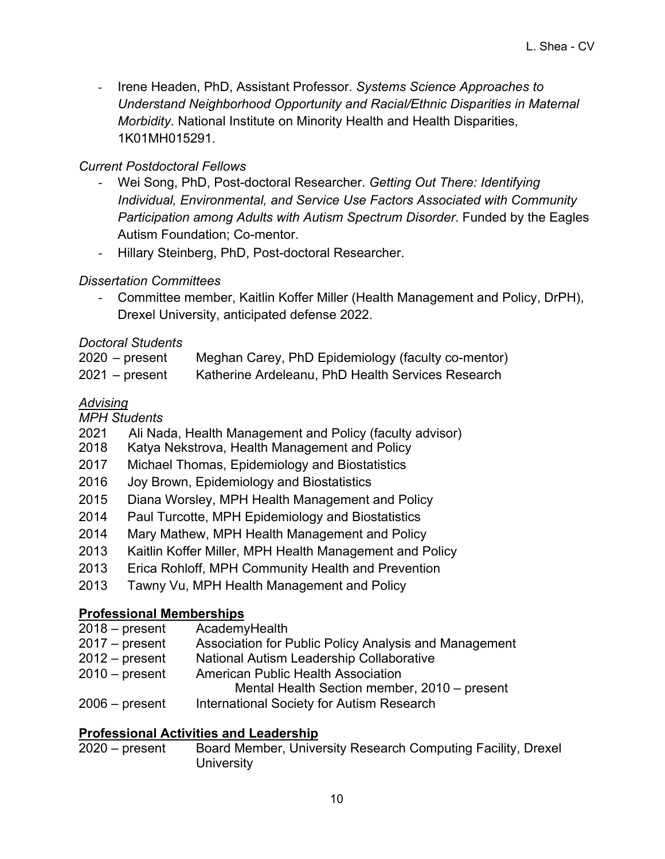- Irene Headen, PhD, Assistant Professor. *Systems Science Approaches to Understand Neighborhood Opportunity and Racial/Ethnic Disparities in Maternal Morbidity*. National Institute on Minority Health and Health Disparities, 1K01MH015291.

### *Current Postdoctoral Fellows*

- Wei Song, PhD, Post-doctoral Researcher. *Getting Out There: Identifying Individual, Environmental, and Service Use Factors Associated with Community Participation among Adults with Autism Spectrum Disorder*. Funded by the Eagles Autism Foundation; Co-mentor.
- Hillary Steinberg, PhD, Post-doctoral Researcher.

### *Dissertation Committees*

- Committee member, Kaitlin Koffer Miller (Health Management and Policy, DrPH), Drexel University, anticipated defense 2022.

### *Doctoral Students*

| $2020$ – present | Meghan Carey, PhD Epidemiology (faculty co-mentor) |
|------------------|----------------------------------------------------|
| $2021 - present$ | Katherine Ardeleanu, PhD Health Services Research  |

### *Advising*

*MPH Students* 

- 2021 Ali Nada, Health Management and Policy (faculty advisor)
- 2018 Katya Nekstrova, Health Management and Policy
- 2017 Michael Thomas, Epidemiology and Biostatistics
- 2016 Joy Brown, Epidemiology and Biostatistics
- 2015 Diana Worsley, MPH Health Management and Policy
- 2014 Paul Turcotte, MPH Epidemiology and Biostatistics
- 2014 Mary Mathew, MPH Health Management and Policy
- 2013 Kaitlin Koffer Miller, MPH Health Management and Policy
- 2013 Erica Rohloff, MPH Community Health and Prevention
- 2013 Tawny Vu, MPH Health Management and Policy

### **Professional Memberships**

2018 – present AcademyHealth 2017 – present Association for Public Policy Analysis and Management 2012 – present National Autism Leadership Collaborative 2010 – present American Public Health Association Mental Health Section member, 2010 – present 2006 – present International Society for Autism Research

### **Professional Activities and Leadership**

2020 – present Board Member, University Research Computing Facility, Drexel **University**